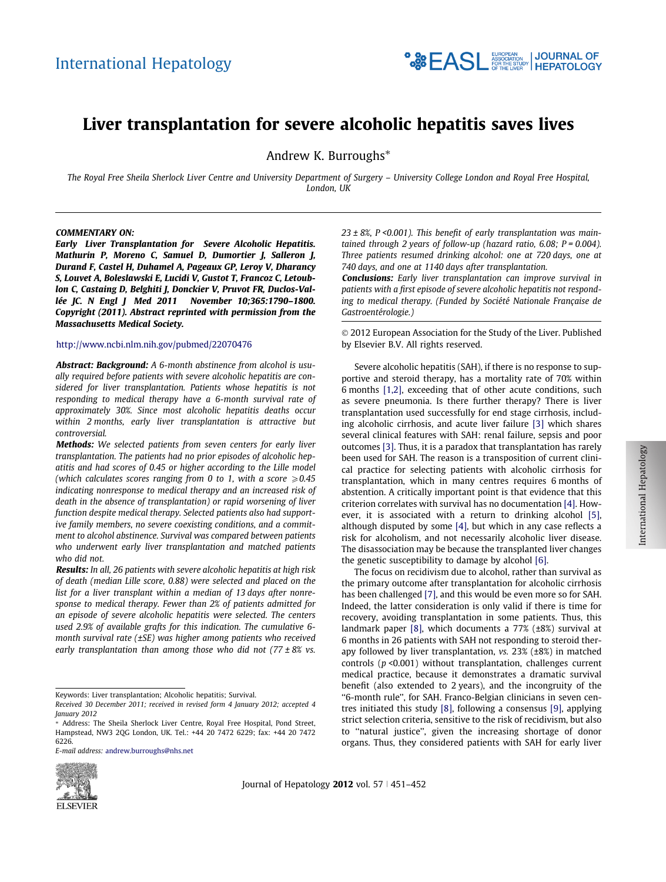# Liver transplantation for severe alcoholic hepatitis saves lives

Andrew K. Burroughs<sup>\*</sup>

The Royal Free Sheila Sherlock Liver Centre and University Department of Surgery – University College London and Royal Free Hospital, London, UK

#### COMMENTARY ON:

Early Liver Transplantation for Severe Alcoholic Hepatitis. Mathurin P, Moreno C, Samuel D, Dumortier J, Salleron J, Durand F, Castel H, Duhamel A, Pageaux GP, Leroy V, Dharancy S, Louvet A, Boleslawski E, Lucidi V, Gustot T, Francoz C, Letoublon C, Castaing D, Belghiti J, Donckier V, Pruvot FR, Duclos-Vallée JC. N Engl J Med 2011 November 10;365:1790–1800. Copyright (2011). Abstract reprinted with permission from the Massachusetts Medical Society.

## <http://www.ncbi.nlm.nih.gov/pubmed/22070476>

Abstract: Background: A 6-month abstinence from alcohol is usually required before patients with severe alcoholic hepatitis are considered for liver transplantation. Patients whose hepatitis is not responding to medical therapy have a 6-month survival rate of approximately 30%. Since most alcoholic hepatitis deaths occur within 2 months, early liver transplantation is attractive but controversial.

Methods: We selected patients from seven centers for early liver transplantation. The patients had no prior episodes of alcoholic hepatitis and had scores of 0.45 or higher according to the Lille model (which calculates scores ranging from 0 to 1, with a score  $\geq 0.45$ indicating nonresponse to medical therapy and an increased risk of death in the absence of transplantation) or rapid worsening of liver function despite medical therapy. Selected patients also had supportive family members, no severe coexisting conditions, and a commitment to alcohol abstinence. Survival was compared between patients who underwent early liver transplantation and matched patients who did not.

Results: In all, 26 patients with severe alcoholic hepatitis at high risk of death (median Lille score, 0.88) were selected and placed on the list for a liver transplant within a median of 13 days after nonresponse to medical therapy. Fewer than 2% of patients admitted for an episode of severe alcoholic hepatitis were selected. The centers used 2.9% of available grafts for this indication. The cumulative 6 month survival rate (±SE) was higher among patients who received early transplantation than among those who did not  $(77 \pm 8\%)$  vs.

Keywords: Liver transplantation; Alcoholic hepatitis; Survival.

E-mail address: [andrew.burroughs@nhs.net](mailto:andrew.burroughs@nhs.net)



Journal of Hepatology 2012 vol. 57  $\mid$  451-452

 $23 \pm 8\%$ , P < 0.001). This benefit of early transplantation was maintained through 2 years of follow-up (hazard ratio, 6.08;  $P = 0.004$ ). Three patients resumed drinking alcohol: one at 720 days, one at 740 days, and one at 1140 days after transplantation.

**<sup>•</sup>. See EASL And Section | JOURNAL OF** 

Conclusions: Early liver transplantation can improve survival in patients with a first episode of severe alcoholic hepatitis not responding to medical therapy. (Funded by Société Nationale Française de Gastroentérologie.)

© 2012 European Association for the Study of the Liver. Published by Elsevier B.V. All rights reserved.

Severe alcoholic hepatitis (SAH), if there is no response to supportive and steroid therapy, has a mortality rate of 70% within 6 months [\[1,2\]](#page-1-0), exceeding that of other acute conditions, such as severe pneumonia. Is there further therapy? There is liver transplantation used successfully for end stage cirrhosis, including alcoholic cirrhosis, and acute liver failure [\[3\]](#page-1-0) which shares several clinical features with SAH: renal failure, sepsis and poor outcomes [\[3\]](#page-1-0). Thus, it is a paradox that transplantation has rarely been used for SAH. The reason is a transposition of current clinical practice for selecting patients with alcoholic cirrhosis for transplantation, which in many centres requires 6 months of abstention. A critically important point is that evidence that this criterion correlates with survival has no documentation [\[4\].](#page-1-0) However, it is associated with a return to drinking alcohol [\[5\]](#page-1-0), although disputed by some [\[4\]](#page-1-0), but which in any case reflects a risk for alcoholism, and not necessarily alcoholic liver disease. The disassociation may be because the transplanted liver changes the genetic susceptibility to damage by alcohol [\[6\].](#page-1-0)

The focus on recidivism due to alcohol, rather than survival as the primary outcome after transplantation for alcoholic cirrhosis has been challenged [\[7\],](#page-1-0) and this would be even more so for SAH. Indeed, the latter consideration is only valid if there is time for recovery, avoiding transplantation in some patients. Thus, this landmark paper [\[8\],](#page-1-0) which documents a 77% (±8%) survival at 6 months in 26 patients with SAH not responding to steroid therapy followed by liver transplantation, vs. 23% (±8%) in matched controls ( $p$  <0.001) without transplantation, challenges current medical practice, because it demonstrates a dramatic survival benefit (also extended to 2 years), and the incongruity of the ''6-month rule'', for SAH. Franco-Belgian clinicians in seven centres initiated this study [\[8\],](#page-1-0) following a consensus [\[9\]](#page-1-0), applying strict selection criteria, sensitive to the risk of recidivism, but also to ''natural justice'', given the increasing shortage of donor organs. Thus, they considered patients with SAH for early liver



Received 30 December 2011; received in revised form 4 January 2012; accepted 4 January 2012

<sup>\*</sup> Address: The Sheila Sherlock Liver Centre, Royal Free Hospital, Pond Street, Hampstead, NW3 2QG London, UK. Tel.: +44 20 7472 6229; fax: +44 20 7472 6226.